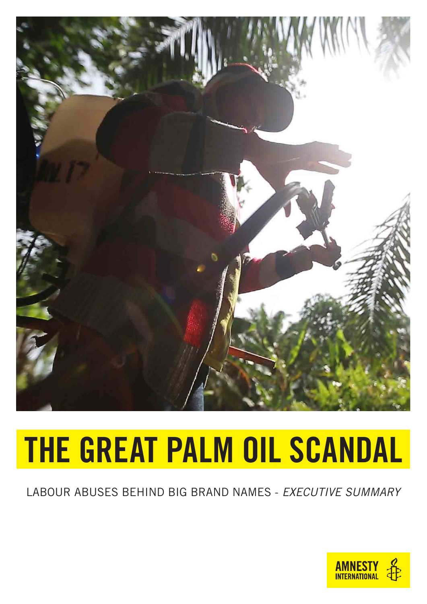

# THE GREAT PALM OIL SCANDAL

#### LABOUR ABUSES BEHIND BIG BRAND NAMES - *EXECUTIVE SUMMARY*

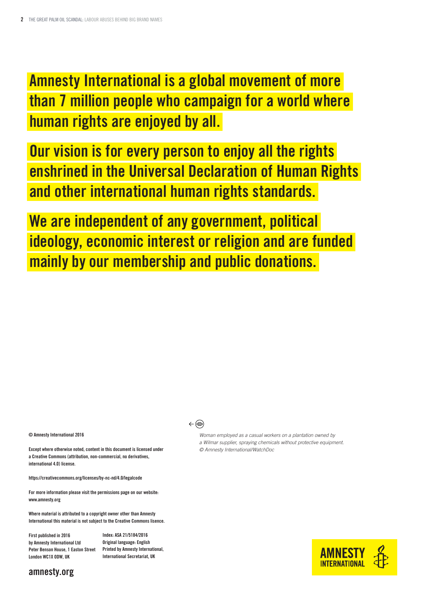Amnesty International is a global movement of more than 7 million people who campaign for a world where human rights are enjoyed by all.

Our vision is for every person to enjoy all the rights enshrined in the Universal Declaration of Human Rights and other international human rights standards.

We are independent of any government, political ideology, economic interest or religion and are funded mainly by our membership and public donations.

#### © Amnesty International 2016

Except where otherwise noted, content in this document is licensed under a Creative Commons (attribution, non-commercial, no derivatives, international 4.0) license.

https://creativecommons.org/licenses/by-nc-nd/4.0/legalcode

For more information please visit the permissions page on our website: www.amnesty.org

Where material is attributed to a copyright owner other than Amnesty International this material is not subject to the Creative Commons lisence.

First published in 2016 by Amnesty International Ltd Peter Benson House, 1 Easton Street Printed by Amnesty International, London WC1X ODW, UK

Index: ASA 21/5184/2016 Original language: English International Secretariat, UK

#### $\leftarrow \circledcirc$

*Woman employed as a casual workers on a plantation owned by a Wilmar supplier, spraying chemicals without protective equipment.*

*© Amnesty International/WatchDoc*



#### amnesty.org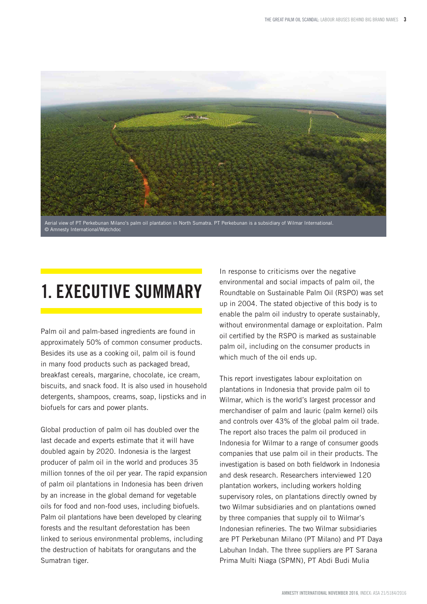

## 1. EXECUTIVE SUMMARY

Palm oil and palm-based ingredients are found in approximately 50% of common consumer products. Besides its use as a cooking oil, palm oil is found in many food products such as packaged bread, breakfast cereals, margarine, chocolate, ice cream, biscuits, and snack food. It is also used in household detergents, shampoos, creams, soap, lipsticks and in biofuels for cars and power plants.

Global production of palm oil has doubled over the last decade and experts estimate that it will have doubled again by 2020. Indonesia is the largest producer of palm oil in the world and produces 35 million tonnes of the oil per year. The rapid expansion of palm oil plantations in Indonesia has been driven by an increase in the global demand for vegetable oils for food and non-food uses, including biofuels. Palm oil plantations have been developed by clearing forests and the resultant deforestation has been linked to serious environmental problems, including the destruction of habitats for orangutans and the Sumatran tiger.

In response to criticisms over the negative environmental and social impacts of palm oil, the Roundtable on Sustainable Palm Oil (RSPO) was set up in 2004. The stated objective of this body is to enable the palm oil industry to operate sustainably, without environmental damage or exploitation. Palm oil certified by the RSPO is marked as sustainable palm oil, including on the consumer products in which much of the oil ends up.

This report investigates labour exploitation on plantations in Indonesia that provide palm oil to Wilmar, which is the world's largest processor and merchandiser of palm and lauric (palm kernel) oils and controls over 43% of the global palm oil trade. The report also traces the palm oil produced in Indonesia for Wilmar to a range of consumer goods companies that use palm oil in their products. The investigation is based on both fieldwork in Indonesia and desk research. Researchers interviewed 120 plantation workers, including workers holding supervisory roles, on plantations directly owned by two Wilmar subsidiaries and on plantations owned by three companies that supply oil to Wilmar's Indonesian refineries. The two Wilmar subsidiaries are PT Perkebunan Milano (PT Milano) and PT Daya Labuhan Indah. The three suppliers are PT Sarana Prima Multi Niaga (SPMN), PT Abdi Budi Mulia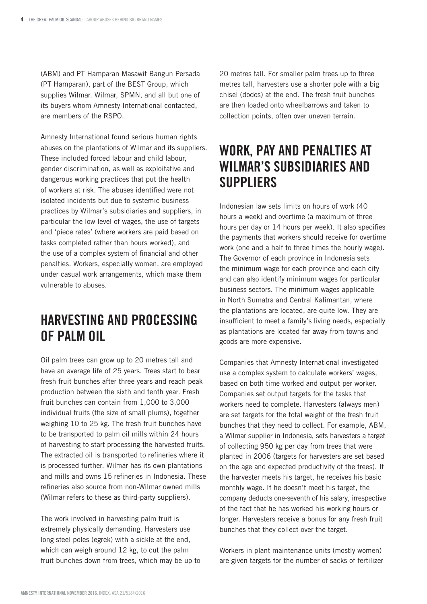(ABM) and PT Hamparan Masawit Bangun Persada (PT Hamparan), part of the BEST Group, which supplies Wilmar. Wilmar, SPMN, and all but one of its buyers whom Amnesty International contacted, are members of the RSPO.

Amnesty International found serious human rights abuses on the plantations of Wilmar and its suppliers. These included forced labour and child labour, gender discrimination, as well as exploitative and dangerous working practices that put the health of workers at risk. The abuses identified were not isolated incidents but due to systemic business practices by Wilmar's subsidiaries and suppliers, in particular the low level of wages, the use of targets and 'piece rates' (where workers are paid based on tasks completed rather than hours worked), and the use of a complex system of financial and other penalties. Workers, especially women, are employed under casual work arrangements, which make them vulnerable to abuses.

#### HARVESTING AND PROCESSING OF PALM OIL

Oil palm trees can grow up to 20 metres tall and have an average life of 25 years. Trees start to bear fresh fruit bunches after three years and reach peak production between the sixth and tenth year. Fresh fruit bunches can contain from 1,000 to 3,000 individual fruits (the size of small plums), together weighing 10 to 25 kg. The fresh fruit bunches have to be transported to palm oil mills within 24 hours of harvesting to start processing the harvested fruits. The extracted oil is transported to refineries where it is processed further. Wilmar has its own plantations and mills and owns 15 refineries in Indonesia. These refineries also source from non-Wilmar owned mills (Wilmar refers to these as third-party suppliers).

The work involved in harvesting palm fruit is extremely physically demanding. Harvesters use long steel poles (egrek) with a sickle at the end, which can weigh around 12 kg, to cut the palm fruit bunches down from trees, which may be up to 20 metres tall. For smaller palm trees up to three metres tall, harvesters use a shorter pole with a big chisel (dodos) at the end. The fresh fruit bunches are then loaded onto wheelbarrows and taken to collection points, often over uneven terrain.

#### WORK, PAY AND PENALTIES AT WILMAR'S SUBSIDIARIES AND SUPPLIERS

Indonesian law sets limits on hours of work (40 hours a week) and overtime (a maximum of three hours per day or 14 hours per week). It also specifies the payments that workers should receive for overtime work (one and a half to three times the hourly wage). The Governor of each province in Indonesia sets the minimum wage for each province and each city and can also identify minimum wages for particular business sectors. The minimum wages applicable in North Sumatra and Central Kalimantan, where the plantations are located, are quite low. They are insufficient to meet a family's living needs, especially as plantations are located far away from towns and goods are more expensive.

Companies that Amnesty International investigated use a complex system to calculate workers' wages, based on both time worked and output per worker. Companies set output targets for the tasks that workers need to complete. Harvesters (always men) are set targets for the total weight of the fresh fruit bunches that they need to collect. For example, ABM, a Wilmar supplier in Indonesia, sets harvesters a target of collecting 950 kg per day from trees that were planted in 2006 (targets for harvesters are set based on the age and expected productivity of the trees). If the harvester meets his target, he receives his basic monthly wage. If he doesn't meet his target, the company deducts one-seventh of his salary, irrespective of the fact that he has worked his working hours or longer. Harvesters receive a bonus for any fresh fruit bunches that they collect over the target.

Workers in plant maintenance units (mostly women) are given targets for the number of sacks of fertilizer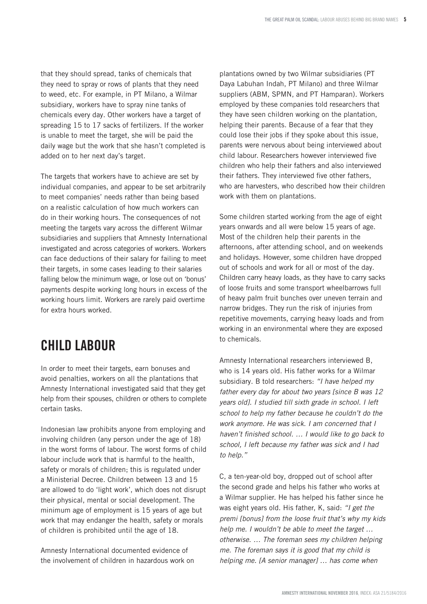that they should spread, tanks of chemicals that they need to spray or rows of plants that they need to weed, etc. For example, in PT Milano, a Wilmar subsidiary, workers have to spray nine tanks of chemicals every day. Other workers have a target of spreading 15 to 17 sacks of fertilizers. If the worker is unable to meet the target, she will be paid the daily wage but the work that she hasn't completed is added on to her next day's target.

The targets that workers have to achieve are set by individual companies, and appear to be set arbitrarily to meet companies' needs rather than being based on a realistic calculation of how much workers can do in their working hours. The consequences of not meeting the targets vary across the different Wilmar subsidiaries and suppliers that Amnesty International investigated and across categories of workers. Workers can face deductions of their salary for failing to meet their targets, in some cases leading to their salaries falling below the minimum wage, or lose out on 'bonus' payments despite working long hours in excess of the working hours limit. Workers are rarely paid overtime for extra hours worked.

#### CHILD LABOUR

In order to meet their targets, earn bonuses and avoid penalties, workers on all the plantations that Amnesty International investigated said that they get help from their spouses, children or others to complete certain tasks.

Indonesian law prohibits anyone from employing and involving children (any person under the age of 18) in the worst forms of labour. The worst forms of child labour include work that is harmful to the health, safety or morals of children; this is regulated under a Ministerial Decree. Children between 13 and 15 are allowed to do 'light work', which does not disrupt their physical, mental or social development. The minimum age of employment is 15 years of age but work that may endanger the health, safety or morals of children is prohibited until the age of 18.

Amnesty International documented evidence of the involvement of children in hazardous work on

plantations owned by two Wilmar subsidiaries (PT Daya Labuhan Indah, PT Milano) and three Wilmar suppliers (ABM, SPMN, and PT Hamparan). Workers employed by these companies told researchers that they have seen children working on the plantation, helping their parents. Because of a fear that they could lose their jobs if they spoke about this issue, parents were nervous about being interviewed about child labour. Researchers however interviewed five children who help their fathers and also interviewed their fathers. They interviewed five other fathers, who are harvesters, who described how their children work with them on plantations.

Some children started working from the age of eight years onwards and all were below 15 years of age. Most of the children help their parents in the afternoons, after attending school, and on weekends and holidays. However, some children have dropped out of schools and work for all or most of the day. Children carry heavy loads, as they have to carry sacks of loose fruits and some transport wheelbarrows full of heavy palm fruit bunches over uneven terrain and narrow bridges. They run the risk of injuries from repetitive movements, carrying heavy loads and from working in an environmental where they are exposed to chemicals.

Amnesty International researchers interviewed B, who is 14 years old. His father works for a Wilmar subsidiary. B told researchers: *"I have helped my father every day for about two years [since B was 12 years old]. I studied till sixth grade in school. I left school to help my father because he couldn't do the work anymore. He was sick. I am concerned that I*  haven't finished school. … I would like to go back to *school, I left because my father was sick and I had to help."*

C, a ten-year-old boy, dropped out of school after the second grade and helps his father who works at a Wilmar supplier. He has helped his father since he was eight years old. His father, K, said: *"I get the premi [bonus] from the loose fruit that's why my kids*  help me. I wouldn't be able to meet the target … otherwise. … The foreman sees my children helping *me. The foreman says it is good that my child is*  helping me. [A senior manager] … has come when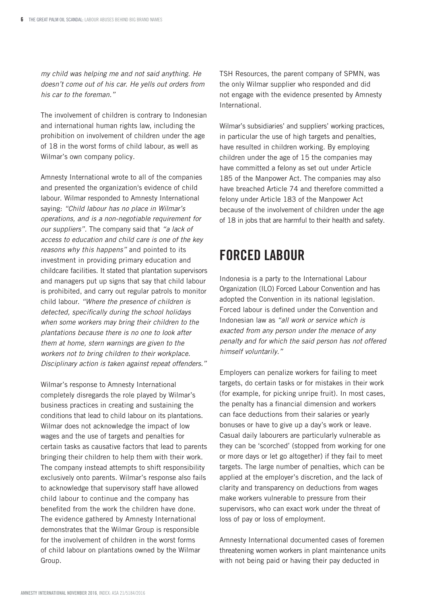*my child was helping me and not said anything. He doesn't come out of his car. He yells out orders from his car to the foreman."* 

The involvement of children is contrary to Indonesian and international human rights law, including the prohibition on involvement of children under the age of 18 in the worst forms of child labour, as well as Wilmar's own company policy.

Amnesty International wrote to all of the companies and presented the organization's evidence of child labour. Wilmar responded to Amnesty International saying: *"Child labour has no place in Wilmar's operations, and is a non-negotiable requirement for our suppliers".* The company said that *"a lack of access to education and child care is one of the key reasons why this happens"* and pointed to its investment in providing primary education and childcare facilities. It stated that plantation supervisors and managers put up signs that say that child labour is prohibited, and carry out regular patrols to monitor child labour. *"Where the presence of children is* detected, specifically during the school holidays *when some workers may bring their children to the plantations because there is no one to look after them at home, stern warnings are given to the workers not to bring children to their workplace. Disciplinary action is taken against repeat offenders."*

Wilmar's response to Amnesty International completely disregards the role played by Wilmar's business practices in creating and sustaining the conditions that lead to child labour on its plantations. Wilmar does not acknowledge the impact of low wages and the use of targets and penalties for certain tasks as causative factors that lead to parents bringing their children to help them with their work. The company instead attempts to shift responsibility exclusively onto parents. Wilmar's response also fails to acknowledge that supervisory staff have allowed child labour to continue and the company has benefited from the work the children have done. The evidence gathered by Amnesty International demonstrates that the Wilmar Group is responsible for the involvement of children in the worst forms of child labour on plantations owned by the Wilmar Group.

TSH Resources, the parent company of SPMN, was the only Wilmar supplier who responded and did not engage with the evidence presented by Amnesty International.

Wilmar's subsidiaries' and suppliers' working practices, in particular the use of high targets and penalties, have resulted in children working. By employing children under the age of 15 the companies may have committed a felony as set out under Article 185 of the Manpower Act. The companies may also have breached Article 74 and therefore committed a felony under Article 183 of the Manpower Act because of the involvement of children under the age of 18 in jobs that are harmful to their health and safety.

## FORCED LABOUR

Indonesia is a party to the International Labour Organization (ILO) Forced Labour Convention and has adopted the Convention in its national legislation. Forced labour is defined under the Convention and Indonesian law as *"all work or service which is exacted from any person under the menace of any penalty and for which the said person has not offered himself voluntarily."*

Employers can penalize workers for failing to meet targets, do certain tasks or for mistakes in their work (for example, for picking unripe fruit). In most cases, the penalty has a financial dimension and workers can face deductions from their salaries or yearly bonuses or have to give up a day's work or leave. Casual daily labourers are particularly vulnerable as they can be 'scorched' (stopped from working for one or more days or let go altogether) if they fail to meet targets. The large number of penalties, which can be applied at the employer's discretion, and the lack of clarity and transparency on deductions from wages make workers vulnerable to pressure from their supervisors, who can exact work under the threat of loss of pay or loss of employment.

Amnesty International documented cases of foremen threatening women workers in plant maintenance units with not being paid or having their pay deducted in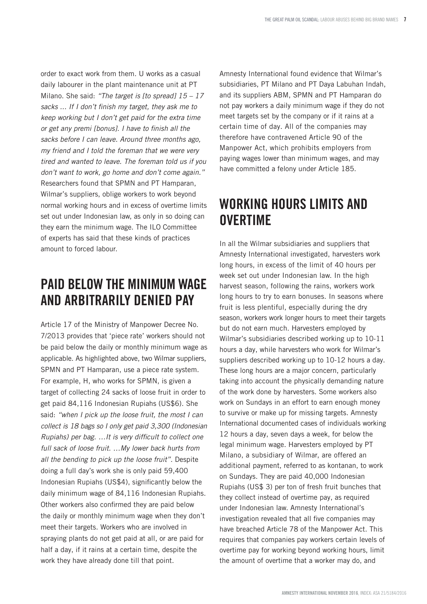order to exact work from them. U works as a casual daily labourer in the plant maintenance unit at PT Milano. She said: *"The target is [to spread] 15 – 17*  sacks ... If I don't finish my target, they ask me to *keep working but I don't get paid for the extra time*  or get any premi [bonus]. I have to finish all the *sacks before I can leave. Around three months ago, my friend and I told the foreman that we were very tired and wanted to leave. The foreman told us if you don't want to work, go home and don't come again."*  Researchers found that SPMN and PT Hamparan, Wilmar's suppliers, oblige workers to work beyond normal working hours and in excess of overtime limits set out under Indonesian law, as only in so doing can they earn the minimum wage. The ILO Committee of experts has said that these kinds of practices amount to forced labour.

### PAID BELOW THE MINIMUM WAGE AND ARBITRARILY DENIED PAY

Article 17 of the Ministry of Manpower Decree No. 7/2013 provides that 'piece rate' workers should not be paid below the daily or monthly minimum wage as applicable. As highlighted above, two Wilmar suppliers, SPMN and PT Hamparan, use a piece rate system. For example, H, who works for SPMN, is given a target of collecting 24 sacks of loose fruit in order to get paid 84,116 Indonesian Rupiahs (US\$6). She said: *"when I pick up the loose fruit, the most I can collect is 18 bags so I only get paid 3,300 (Indonesian* Rupiahs) per bag. …It is very difficult to collect one full sack of loose fruit. …My lower back hurts from *all the bending to pick up the loose fruit".* Despite doing a full day's work she is only paid 59,400 Indonesian Rupiahs (US\$4), significantly below the daily minimum wage of 84,116 Indonesian Rupiahs. Other workers also confirmed they are paid below the daily or monthly minimum wage when they don't meet their targets. Workers who are involved in spraying plants do not get paid at all, or are paid for half a day, if it rains at a certain time, despite the work they have already done till that point.

Amnesty International found evidence that Wilmar's subsidiaries, PT Milano and PT Daya Labuhan Indah, and its suppliers ABM, SPMN and PT Hamparan do not pay workers a daily minimum wage if they do not meet targets set by the company or if it rains at a certain time of day. All of the companies may therefore have contravened Article 90 of the Manpower Act, which prohibits employers from paying wages lower than minimum wages, and may have committed a felony under Article 185.

#### WORKING HOURS LIMITS AND **OVERTIME**

In all the Wilmar subsidiaries and suppliers that Amnesty International investigated, harvesters work long hours, in excess of the limit of 40 hours per week set out under Indonesian law. In the high harvest season, following the rains, workers work long hours to try to earn bonuses. In seasons where fruit is less plentiful, especially during the dry season, workers work longer hours to meet their targets but do not earn much. Harvesters employed by Wilmar's subsidiaries described working up to 10-11 hours a day, while harvesters who work for Wilmar's suppliers described working up to 10-12 hours a day. These long hours are a major concern, particularly taking into account the physically demanding nature of the work done by harvesters. Some workers also work on Sundays in an effort to earn enough money to survive or make up for missing targets. Amnesty International documented cases of individuals working 12 hours a day, seven days a week, for below the legal minimum wage. Harvesters employed by PT Milano, a subsidiary of Wilmar, are offered an additional payment, referred to as kontanan, to work on Sundays. They are paid 40,000 Indonesian Rupiahs (US\$ 3) per ton of fresh fruit bunches that they collect instead of overtime pay, as required under Indonesian law. Amnesty International's investigation revealed that all five companies may have breached Article 78 of the Manpower Act. This requires that companies pay workers certain levels of overtime pay for working beyond working hours, limit the amount of overtime that a worker may do, and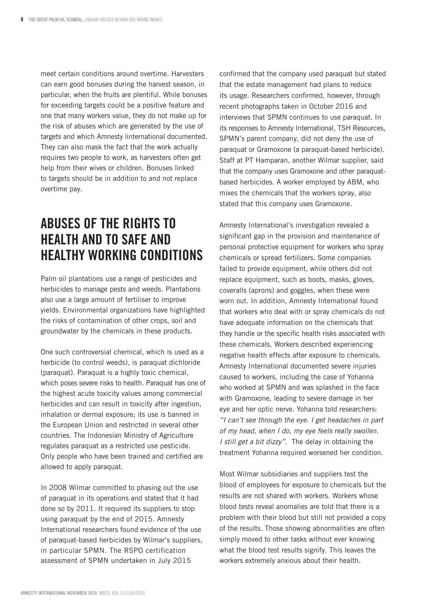meet certain conditions around overtime. Harvesters can earn good bonuses during the harvest season, in particular, when the fruits are plentiful. While bonuses for exceeding targets could be a positive feature and one that many workers value, they do not make up for the risk of abuses which are generated by the use of targets and which Amnesty linternational documented. They can also mask the fact that the work actually requires two people to work, as harvesters often get help from their wives or children. Bonuses linked to targets should be in addition to and not replace overtime pay.

#### ABUSES OF THE RIGHTS TO HEALTH AND TO SAFE AND HEALTHY WORKING CONDITIONS

Palm oil plantations use a range of pesticides and herbicides to manage pests and weeds. Plantations also use a large amount of fertiliser to improve yields. Environmental organizations have highlighted the risks of contamination of other crops, soil and groundwater by the chemicals in these products.

One such controversial chemical, which is used as a herbicide (to control weeds), is paraquat dichloride (paraquat). Paraquat is a highly toxic chemical, which poses severe risks to health. Paraquat has one of the highest acute toxicity values among commercial herbicides and can result in toxicity after ingestion, inhalation or dermal exposure; its use is banned in the European Union and restricted in several other countries. The Indonesian Ministry of Agriculture regulates paraquat as a restricted use pesticide. Only people who have been trained and certified are allowed to apply paraquat.

In 2008 Wilmar committed to phasing out the use of paraquat in its operations and stated that it had done so by 2011. It required its suppliers to stop using paraquat by the end of 2015. Amnesty International researchers found evidence of the use of paraquat-based herbicides by Wilmar's suppliers, in particular SPMN. The RSPO certification assessment of SPMN undertaken in July 2015

confirmed that the company used paraquat but stated that the estate management had plans to reduce its usage. Researchers confirmed, however, through recent photographs taken in October 2016 and interviews that SPMN continues to use paraquat. In its responses to Amnesty International, TSH Resources, SPMN's parent company, did not deny the use of paraquat or Gramoxone (a paraquat-based herbicide). Staff at PT Hamparan, another Wilmar supplier, said that the company uses Gramoxone and other paraquatbased herbicides. A worker employed by ABM, who mixes the chemicals that the workers spray, also stated that this company uses Gramoxone.

Amnesty International's investigation revealed a significant gap in the provision and maintenance of personal protective equipment for workers who spray chemicals or spread fertilizers. Some companies failed to provide equipment, while others did not replace equipment, such as boots, masks, gloves, coveralls (aprons) and goggles, when these were worn out. In addition, Amnesty International found that workers who deal with or spray chemicals do not have adequate information on the chemicals that they handle or the specific health risks associated with these chemicals. Workers described experiencing negative health effects after exposure to chemicals. Amnesty International documented severe injuries caused to workers, including the case of Yohanna who worked at SPMN and was splashed in the face with Gramoxone, leading to severe damage in her eye and her optic nerve. Yohanna told researchers: *"I can't see through the eye. I get headaches in part of my head, when I do, my eye feels really swollen. I still get a bit dizzy"*. The delay in obtaining the treatment Yohanna required worsened her condition.

Most Wilmar subsidiaries and suppliers test the blood of employees for exposure to chemicals but the results are not shared with workers. Workers whose blood tests reveal anomalies are told that there is a problem with their blood but still not provided a copy of the results. Those showing abnormalities are often simply moved to other tasks without ever knowing what the blood test results signify. This leaves the workers extremely anxious about their health.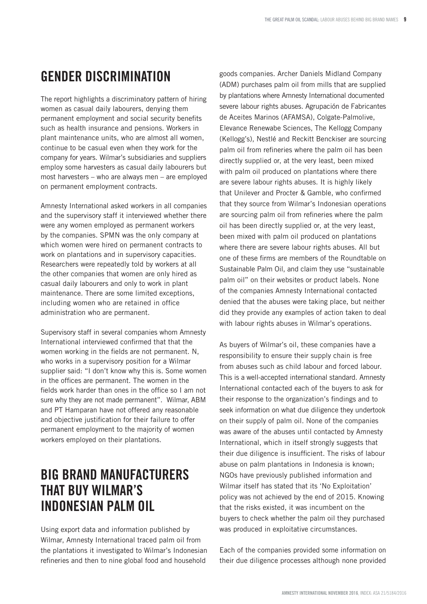## GENDER DISCRIMINATION

The report highlights a discriminatory pattern of hiring women as casual daily labourers, denying them permanent employment and social security benefits such as health insurance and pensions. Workers in plant maintenance units, who are almost all women, continue to be casual even when they work for the company for years. Wilmar's subsidiaries and suppliers employ some harvesters as casual daily labourers but most harvesters – who are always men – are employed on permanent employment contracts.

Amnesty International asked workers in all companies and the supervisory staff it interviewed whether there were any women employed as permanent workers by the companies. SPMN was the only company at which women were hired on permanent contracts to work on plantations and in supervisory capacities. Researchers were repeatedly told by workers at all the other companies that women are only hired as casual daily labourers and only to work in plant maintenance. There are some limited exceptions, including women who are retained in office administration who are permanent.

Supervisory staff in several companies whom Amnesty International interviewed confirmed that that the women working in the fields are not permanent. N, who works in a supervisory position for a Wilmar supplier said: "I don't know why this is. Some women in the offices are permanent. The women in the fields work harder than ones in the office so I am not sure why they are not made permanent". Wilmar, ABM and PT Hamparan have not offered any reasonable and objective justification for their failure to offer permanent employment to the majority of women workers employed on their plantations.

#### BIG BRAND MANUFACTURERS THAT BUY WILMAR'S INDONESIAN PALM OIL

Using export data and information published by Wilmar, Amnesty International traced palm oil from the plantations it investigated to Wilmar's Indonesian refineries and then to nine global food and household

goods companies. Archer Daniels Midland Company (ADM) purchases palm oil from mills that are supplied by plantations where Amnesty International documented severe labour rights abuses. Agrupación de Fabricantes de Aceites Marinos (AFAMSA), Colgate-Palmolive, Elevance Renewabe Sciences, The Kellogg Company (Kellogg's), Nestlé and Reckitt Benckiser are sourcing palm oil from refineries where the palm oil has been directly supplied or, at the very least, been mixed with palm oil produced on plantations where there are severe labour rights abuses. It is highly likely that Unilever and Procter & Gamble, who confirmed that they source from Wilmar's Indonesian operations are sourcing palm oil from refineries where the palm oil has been directly supplied or, at the very least, been mixed with palm oil produced on plantations where there are severe labour rights abuses. All but one of these firms are members of the Roundtable on Sustainable Palm Oil, and claim they use "sustainable palm oil" on their websites or product labels. None of the companies Amnesty International contacted denied that the abuses were taking place, but neither did they provide any examples of action taken to deal with labour rights abuses in Wilmar's operations.

As buyers of Wilmar's oil, these companies have a responsibility to ensure their supply chain is free from abuses such as child labour and forced labour. This is a well-accepted international standard. Amnesty International contacted each of the buyers to ask for their response to the organization's findings and to seek information on what due diligence they undertook on their supply of palm oil. None of the companies was aware of the abuses until contacted by Amnesty International, which in itself strongly suggests that their due diligence is insufficient. The risks of labour abuse on palm plantations in Indonesia is known; NGOs have previously published information and Wilmar itself has stated that its 'No Exploitation' policy was not achieved by the end of 2015. Knowing that the risks existed, it was incumbent on the buyers to check whether the palm oil they purchased was produced in exploitative circumstances.

Each of the companies provided some information on their due diligence processes although none provided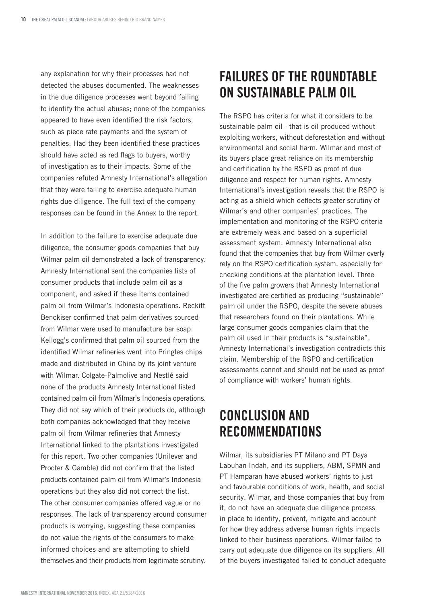any explanation for why their processes had not detected the abuses documented. The weaknesses in the due diligence processes went beyond failing to identify the actual abuses; none of the companies appeared to have even identified the risk factors, such as piece rate payments and the system of penalties. Had they been identified these practices should have acted as red flags to buyers, worthy of investigation as to their impacts. Some of the companies refuted Amnesty International's allegation that they were failing to exercise adequate human rights due diligence. The full text of the company responses can be found in the Annex to the report.

In addition to the failure to exercise adequate due diligence, the consumer goods companies that buy Wilmar palm oil demonstrated a lack of transparency. Amnesty International sent the companies lists of consumer products that include palm oil as a component, and asked if these items contained palm oil from Wilmar's Indonesia operations. Reckitt Benckiser confirmed that palm derivatives sourced from Wilmar were used to manufacture bar soap. Kellogg's confirmed that palm oil sourced from the identified Wilmar refineries went into Pringles chips made and distributed in China by its joint venture with Wilmar. Colgate-Palmolive and Nestlé said none of the products Amnesty International listed contained palm oil from Wilmar's Indonesia operations. They did not say which of their products do, although both companies acknowledged that they receive palm oil from Wilmar refineries that Amnesty International linked to the plantations investigated for this report. Two other companies (Unilever and Procter & Gamble) did not confirm that the listed products contained palm oil from Wilmar's Indonesia operations but they also did not correct the list. The other consumer companies offered vague or no responses. The lack of transparency around consumer products is worrying, suggesting these companies do not value the rights of the consumers to make informed choices and are attempting to shield themselves and their products from legitimate scrutiny.

### FAILURES OF THE ROUNDTABLE ON SUSTAINABLE PALM OIL

The RSPO has criteria for what it considers to be sustainable palm oil - that is oil produced without exploiting workers, without deforestation and without environmental and social harm. Wilmar and most of its buyers place great reliance on its membership and certification by the RSPO as proof of due diligence and respect for human rights. Amnesty International's investigation reveals that the RSPO is acting as a shield which deflects greater scrutiny of Wilmar's and other companies' practices. The implementation and monitoring of the RSPO criteria are extremely weak and based on a superficial assessment system. Amnesty International also found that the companies that buy from Wilmar overly rely on the RSPO certification system, especially for checking conditions at the plantation level. Three of the five palm growers that Amnesty International investigated are certified as producing "sustainable" palm oil under the RSPO, despite the severe abuses that researchers found on their plantations. While large consumer goods companies claim that the palm oil used in their products is "sustainable", Amnesty International's investigation contradicts this claim. Membership of the RSPO and certification assessments cannot and should not be used as proof of compliance with workers' human rights.

### CONCLUSION AND RECOMMENDATIONS

Wilmar, its subsidiaries PT Milano and PT Daya Labuhan Indah, and its suppliers, ABM, SPMN and PT Hamparan have abused workers' rights to just and favourable conditions of work, health, and social security. Wilmar, and those companies that buy from it, do not have an adequate due diligence process in place to identify, prevent, mitigate and account for how they address adverse human rights impacts linked to their business operations. Wilmar failed to carry out adequate due diligence on its suppliers. All of the buyers investigated failed to conduct adequate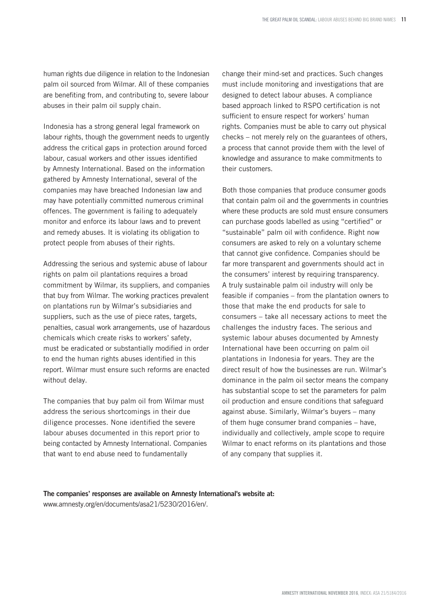human rights due diligence in relation to the Indonesian palm oil sourced from Wilmar. All of these companies are benefiting from, and contributing to, severe labour abuses in their palm oil supply chain.

Indonesia has a strong general legal framework on labour rights, though the government needs to urgently address the critical gaps in protection around forced labour, casual workers and other issues identified by Amnesty International. Based on the information gathered by Amnesty International, several of the companies may have breached Indonesian law and may have potentially committed numerous criminal offences. The government is failing to adequately monitor and enforce its labour laws and to prevent and remedy abuses. It is violating its obligation to protect people from abuses of their rights.

Addressing the serious and systemic abuse of labour rights on palm oil plantations requires a broad commitment by Wilmar, its suppliers, and companies that buy from Wilmar. The working practices prevalent on plantations run by Wilmar's subsidiaries and suppliers, such as the use of piece rates, targets, penalties, casual work arrangements, use of hazardous chemicals which create risks to workers' safety, must be eradicated or substantially modified in order to end the human rights abuses identified in this report. Wilmar must ensure such reforms are enacted without delay.

The companies that buy palm oil from Wilmar must address the serious shortcomings in their due diligence processes. None identified the severe labour abuses documented in this report prior to being contacted by Amnesty International. Companies that want to end abuse need to fundamentally

change their mind-set and practices. Such changes must include monitoring and investigations that are designed to detect labour abuses. A compliance based approach linked to RSPO certification is not sufficient to ensure respect for workers' human rights. Companies must be able to carry out physical checks – not merely rely on the guarantees of others, a process that cannot provide them with the level of knowledge and assurance to make commitments to their customers.

Both those companies that produce consumer goods that contain palm oil and the governments in countries where these products are sold must ensure consumers can purchase goods labelled as using "certified" or "sustainable" palm oil with confidence. Right now consumers are asked to rely on a voluntary scheme that cannot give confidence. Companies should be far more transparent and governments should act in the consumers' interest by requiring transparency. A truly sustainable palm oil industry will only be feasible if companies – from the plantation owners to those that make the end products for sale to consumers – take all necessary actions to meet the challenges the industry faces. The serious and systemic labour abuses documented by Amnesty International have been occurring on palm oil plantations in Indonesia for years. They are the direct result of how the businesses are run. Wilmar's dominance in the palm oil sector means the company has substantial scope to set the parameters for palm oil production and ensure conditions that safeguard against abuse. Similarly, Wilmar's buyers – many of them huge consumer brand companies – have, individually and collectively, ample scope to require Wilmar to enact reforms on its plantations and those of any company that supplies it.

The companies' responses are available on Amnesty International's website at: www.amnesty.org/en/documents/asa21/5230/2016/en/.